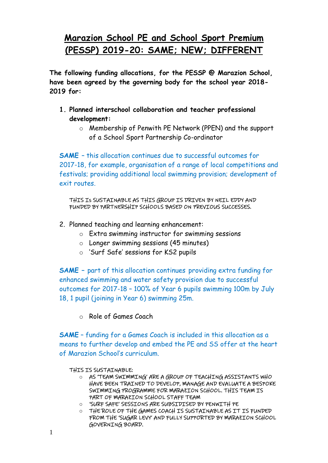## **Marazion School PE and School Sport Premium (PESSP) 2019-20: SAME; NEW; DIFFERENT**

**The following funding allocations, for the PESSP @ Marazion School, have been agreed by the governing body for the school year 2018- 2019 for:**

- **1. Planned interschool collaboration and teacher professional development:**
	- o Membership of Penwith PE Network (PPEN) and the support of a School Sport Partnership Co-ordinator

**SAME** – this allocation continues due to successful outcomes for 2017-18, for example, organisation of a range of local competitions and festivals; providing additional local swimming provision; development of exit routes.

THIS Is SUSTAINABLE AS THIS GROUP IS DRIVEN BY NEIL EDDY AND FUNDED BY PARTNERSHIP SCHOOLS BASED ON PREVIOUS SUCCESSES.

- 2. Planned teaching and learning enhancement:
	- o Extra swimming instructor for swimming sessions
	- o Longer swimming sessions (45 minutes)
	- o 'Surf Safe' sessions for KS2 pupils

**SAME –** part of this allocation continues providing extra funding for enhanced swimming and water safety provision due to successful outcomes for 2017-18 – 100% of Year 6 pupils swimming 100m by July 18, 1 pupil (joining in Year 6) swimming 25m.

o Role of Games Coach

**SAME** – funding for a Games Coach is included in this allocation as a means to further develop and embed the PE and SS offer at the heart of Marazion School's curriculum.

THIS IS SUSTAINABLE:

- o AS 'TEAM SWIMMING' ARE A GROUP OF TEACHING ASSISTANTS WHO HAVE BEEN TRAINED TO DEVELOP, MANAGE AND EVALUATE A BESPOKE SWIMMING PROGRAMME FOR MARAZION SCHOOL. THIS TEAM IS PART OF MARAZION SCHOOL STAFF TEAM
- o 'SURF SAFE' SESSIONS ARE SUBSIDISED BY PENWITH PE
- o THE ROLE OF THE GAMES COACH IS SUSTAINABLE AS IT IS FUNDED FROM THE 'SUGAR LEVY' AND FULLY SUPPORTED BY MARAZION SCHOOL GOVERNING BOARD.